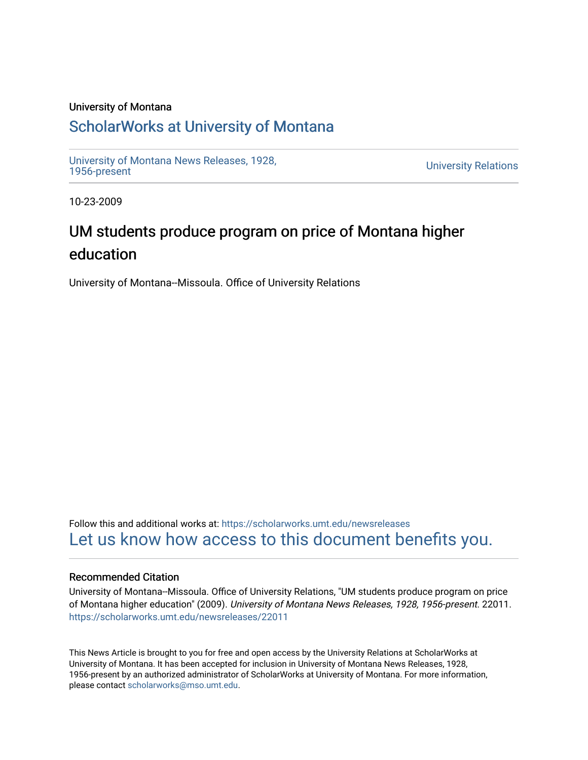#### University of Montana

## [ScholarWorks at University of Montana](https://scholarworks.umt.edu/)

[University of Montana News Releases, 1928,](https://scholarworks.umt.edu/newsreleases) 

**University Relations** 

10-23-2009

# UM students produce program on price of Montana higher education

University of Montana--Missoula. Office of University Relations

Follow this and additional works at: [https://scholarworks.umt.edu/newsreleases](https://scholarworks.umt.edu/newsreleases?utm_source=scholarworks.umt.edu%2Fnewsreleases%2F22011&utm_medium=PDF&utm_campaign=PDFCoverPages) [Let us know how access to this document benefits you.](https://goo.gl/forms/s2rGfXOLzz71qgsB2) 

#### Recommended Citation

University of Montana--Missoula. Office of University Relations, "UM students produce program on price of Montana higher education" (2009). University of Montana News Releases, 1928, 1956-present. 22011. [https://scholarworks.umt.edu/newsreleases/22011](https://scholarworks.umt.edu/newsreleases/22011?utm_source=scholarworks.umt.edu%2Fnewsreleases%2F22011&utm_medium=PDF&utm_campaign=PDFCoverPages) 

This News Article is brought to you for free and open access by the University Relations at ScholarWorks at University of Montana. It has been accepted for inclusion in University of Montana News Releases, 1928, 1956-present by an authorized administrator of ScholarWorks at University of Montana. For more information, please contact [scholarworks@mso.umt.edu.](mailto:scholarworks@mso.umt.edu)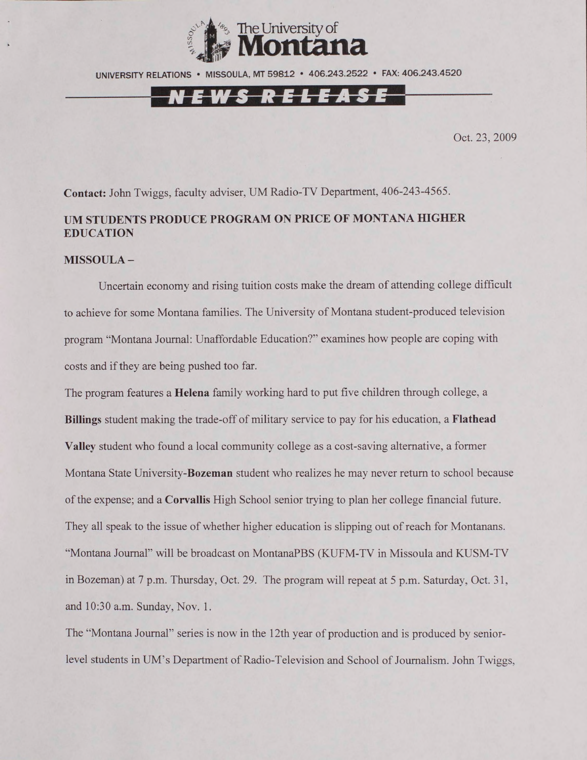

UNIVERSITY RELATIONS • MISSOULA. MT 59812 • 406.243.2522 • FAX: 406.243.4520

### **EWS RELEASE**

Oct. 23, 2009

**Contact:** John Twiggs, faculty adviser, UM Radio-TV Department, 406-243-4565.

#### **UM STUDENTS PRODUCE PROGRAM ON PRICE OF MONTANA HIGHER EDUCATION**

#### **MISSOULA -**

Uncertain economy and rising tuition costs make the dream of attending college difficult to achieve for some Montana families. The University of Montana student-produced television program "Montana Journal: Unaffordable Education?" examines how people are coping with costs and if they are being pushed too far.

The program features a Helena family working hard to put five children through college, a **Billings** student making the trade-off of military service to pay for his education, a **Flathead Valley** student who found a local community college as a cost-saving alternative, a former Montana State University-Bozeman student who realizes he may never return to school because of the expense; and a **Corvallis** High School senior trying to plan her college financial future. They all speak to the issue of whether higher education is slipping out of reach for Montanans. "Montana Journal" will be broadcast on MontanaPBS (KUFM-TV in Missoula and KUSM-TV in Bozeman) at 7 p.m. Thursday, Oct. 29. The program will repeat at 5 p.m. Saturday, Oct. 31, and 10:30 a.m. Sunday, Nov. 1.

The "Montana Journal" series is now in the 12th year of production and is produced by seniorlevel students in UM's Department of Radio-Television and School of Journalism. John Twiggs,